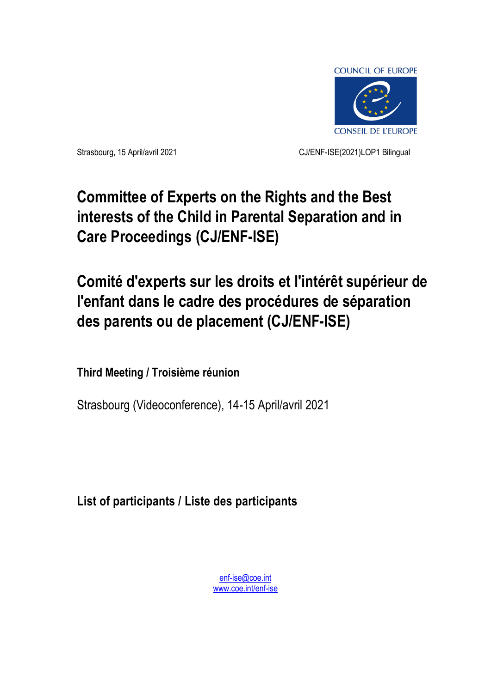

Strasbourg, 15 April/avril 2021 CJ/ENF-ISE(2021)LOP1 Bilingual

# **Committee of Experts on the Rights and the Best interests of the Child in Parental Separation and in Care Proceedings (CJ/ENF-ISE)**

# **Comité d'experts sur les droits et l'intérêt supérieur de l'enfant dans le cadre des procédures de séparation des parents ou de placement (CJ/ENF-ISE)**

**Third Meeting / Troisième réunion**

Strasbourg (Videoconference), 14-15 April/avril 2021

**List of participants / Liste des participants**

[enf-ise@coe.int](mailto:enf-ise@coe.int) [www.coe.int/enf-ise](http://www.coe.int/cdenf)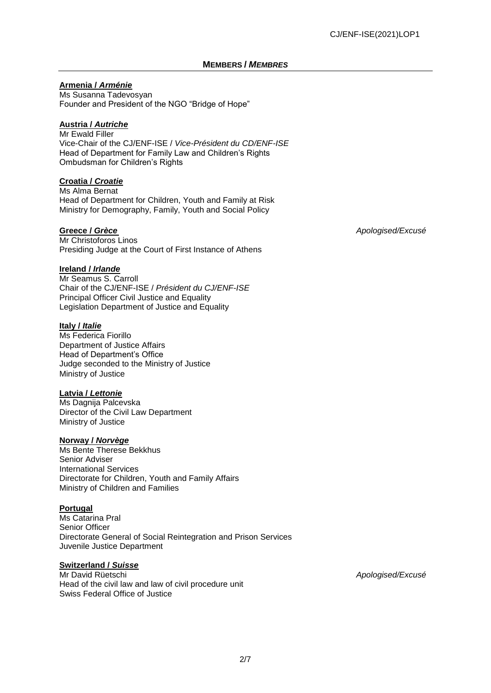# **MEMBERS /** *MEMBRES*

# **Armenia /** *Arménie*

Ms Susanna Tadevosyan Founder and President of the NGO "Bridge of Hope"

# **Austria /** *Autriche*

Mr Ewald Filler Vice-Chair of the CJ/ENF-ISE / *Vice-Président du CD/ENF-ISE* Head of Department for Family Law and Children's Rights Ombudsman for Children's Rights

# **Croatia /** *Croatie*

Ms Alma Bernat Head of Department for Children, Youth and Family at Risk Ministry for Demography, Family, Youth and Social Policy

Mr Christoforos Linos Presiding Judge at the Court of First Instance of Athens

# **Ireland /** *Irlande*

Mr Seamus S. Carroll Chair of the CJ/ENF-ISE / *Président du CJ/ENF-ISE* Principal Officer Civil Justice and Equality Legislation Department of Justice and Equality

# **Italy /** *Italie*

Ms Federica Fiorillo Department of Justice Affairs Head of Department's Office Judge seconded to the Ministry of Justice Ministry of Justice

# **Latvia /** *Lettonie*

Ms Dagnija Palcevska Director of the Civil Law Department Ministry of Justice

# **Norway /** *Norvège*

Ms Bente Therese Bekkhus Senior Adviser International Services Directorate for Children, Youth and Family Affairs Ministry of Children and Families

# **Portugal**

Ms Catarina Pral Senior Officer Directorate General of Social Reintegration and Prison Services Juvenile Justice Department

# **Switzerland /** *Suisse*

Mr David Rüetschi *Apologised/Excusé* Head of the civil law and law of civil procedure unit Swiss Federal Office of Justice

**Greece /** *Grèce Apologised/Excusé*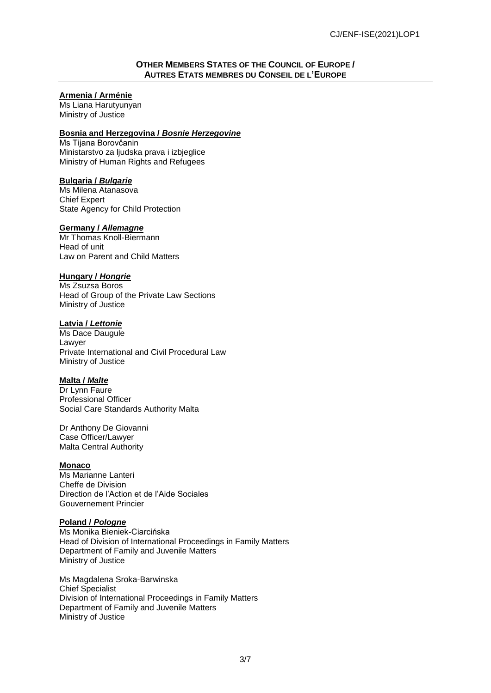# **OTHER MEMBERS STATES OF THE COUNCIL OF EUROPE / AUTRES ETATS MEMBRES DU CONSEIL DE L'EUROPE**

# **Armenia / Arménie**

Ms Liana Harutyunyan Ministry of Justice

# **Bosnia and Herzegovina /** *Bosnie Herzegovine*

Ms Tijana Borovčanin Ministarstvo za ljudska prava i izbieglice Ministry of Human Rights and Refugees

# **Bulgaria /** *Bulgarie*

Ms Milena Atanasova Chief Expert State Agency for Child Protection

# **Germany /** *Allemagne*

Mr Thomas Knoll-Biermann Head of unit Law on Parent and Child Matters

# **Hungary /** *Hongrie*

Ms Zsuzsa Boros Head of Group of the Private Law Sections Ministry of Justice

# **Latvia /** *Lettonie*

Ms Dace Daugule Lawyer Private International and Civil Procedural Law Ministry of Justice

# **Malta /** *Malte*

Dr Lynn Faure Professional Officer Social Care Standards Authority Malta

Dr Anthony De Giovanni Case Officer/Lawyer Malta Central Authority

#### **Monaco**

Ms Marianne Lanteri Cheffe de Division Direction de l'Action et de l'Aide Sociales Gouvernement Princier

# **Poland /** *Pologne*

Ms Monika Bieniek-Ciarcińska Head of Division of International Proceedings in Family Matters Department of Family and Juvenile Matters Ministry of Justice

Ms Magdalena Sroka-Barwinska Chief Specialist Division of International Proceedings in Family Matters Department of Family and Juvenile Matters Ministry of Justice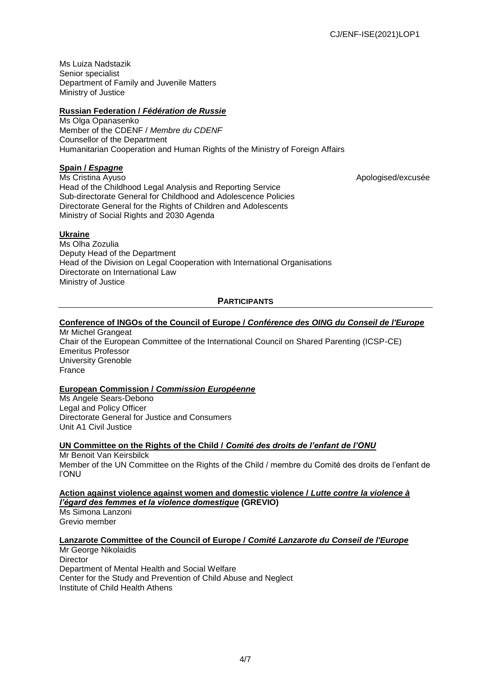Ms Luiza Nadstazik Senior specialist Department of Family and Juvenile Matters Ministry of Justice

# **Russian Federation /** *Fédération de Russie*

Ms Olga Opanasenko Member of the CDENF / *Membre du CDENF* Counsellor of the Department Humanitarian Cooperation and Human Rights of the Ministry of Foreign Affairs

# **Spain /** *Espagne*

Ms Cristina Ayuso **Apologised/excusée** Apologised/excusée Head of the Childhood Legal Analysis and Reporting Service Sub-directorate General for Childhood and Adolescence Policies Directorate General for the Rights of Children and Adolescents Ministry of Social Rights and 2030 Agenda

# **Ukraine**

Ms Olha Zozulia Deputy Head of the Department Head of the Division on Legal Cooperation with International Organisations Directorate on International Law Ministry of Justice

# **PARTICIPANTS**

# **Conference of INGOs of the Council of Europe /** *Conférence des OING du Conseil de l'Europe*

Mr Michel Grangeat Chair of the European Committee of the International Council on Shared Parenting (ICSP-CE) Emeritus Professor University Grenoble France

# **European Commission /** *Commission Européenne*

Ms Angele Sears-Debono Legal and Policy Officer Directorate General for Justice and Consumers Unit A1 Civil Justice

# **UN Committee on the Rights of the Child /** *Comité des droits de l'enfant de l'ONU*

Mr Benoit Van Keirsbilck Member of the UN Committee on the Rights of the Child / membre du Comité des droits de l'enfant de l'ONU

**Action against violence against women and domestic violence /** *Lutte contre la violence à l'égard des femmes et la violence domestique* **(GREVIO)**

Ms Simona Lanzoni Grevio member

# **Lanzarote Committee of the Council of Europe /** *Comité Lanzarote du Conseil de l'Europe*

Mr George Nikolaidis Director Department of Mental Health and Social Welfare Center for the Study and Prevention of Child Abuse and Neglect Institute of Child Health Athens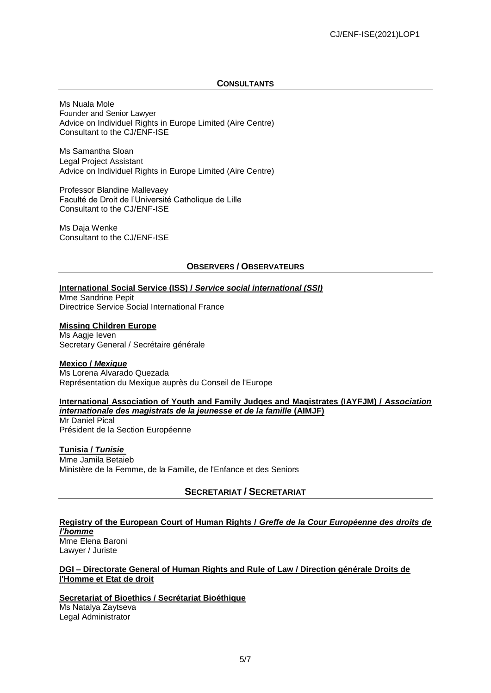# **CONSULTANTS**

Ms Nuala Mole Founder and Senior Lawyer Advice on Individuel Rights in Europe Limited (Aire Centre) Consultant to the CJ/ENF-ISE

Ms Samantha Sloan Legal Project Assistant Advice on Individuel Rights in Europe Limited (Aire Centre)

Professor Blandine Mallevaey Faculté de Droit de l'Université Catholique de Lille Consultant to the CJ/ENF-ISE

Ms Daja Wenke Consultant to the CJ/ENF-ISE

# **OBSERVERS / OBSERVATEURS**

# **International Social Service (ISS) /** *Service social international (SSI)*

Mme Sandrine Pepit Directrice Service Social International France

**Missing Children Europe** Ms Aagje Ieven Secretary General / Secrétaire générale

#### **Mexico /** *Mexique*

Ms Lorena Alvarado Quezada Représentation du Mexique auprès du Conseil de l'Europe

**International Association of Youth and Family Judges and Magistrates (IAYFJM) /** *Association internationale des magistrats de la jeunesse et de la famille* **(AIMJF)**

Mr Daniel Pical Président de la Section Européenne

**Tunisia /** *Tunisie* Mme Jamila Betaieb Ministère de la Femme, de la Famille, de l'Enfance et des Seniors

**SECRETARIAT / SECRETARIAT**

#### **Registry of the European Court of Human Rights /** *Greffe de la Cour Européenne des droits de l'homme* Mme Elena Baroni Lawyer / Juriste

**DGI – Directorate General of Human Rights and Rule of Law / Direction générale Droits de l'Homme et Etat de droit** 

**Secretariat of Bioethics / Secrétariat Bioéthique** Ms Natalya Zaytseva Legal Administrator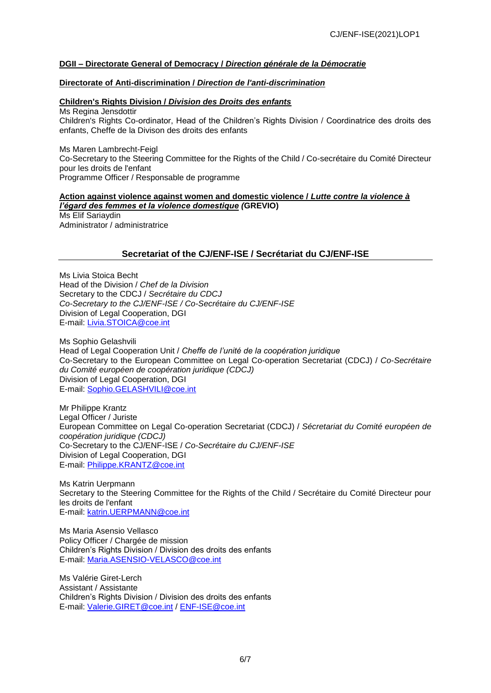# **DGII – Directorate General of Democracy /** *Direction générale de la Démocratie*

#### **Directorate of Anti-discrimination /** *Direction de l'anti-discrimination*

### **Children's Rights Division /** *Division des Droits des enfants*

Ms Regina Jensdottir Children's Rights Co-ordinator, Head of the Children's Rights Division / Coordinatrice des droits des enfants, Cheffe de la Divison des droits des enfants

Ms Maren Lambrecht-Feigl Co-Secretary to the Steering Committee for the Rights of the Child / Co-secrétaire du Comité Directeur pour les droits de l'enfant Programme Officer / Responsable de programme

### **Action against violence against women and domestic violence /** *Lutte contre la violence à l'égard des femmes et la violence domestique (***GREVIO)**

Ms Elif Sariaydin Administrator / administratrice

# **Secretariat of the CJ/ENF-ISE / Secrétariat du CJ/ENF-ISE**

Ms Livia Stoica Becht Head of the Division / *Chef de la Division* Secretary to the CDCJ / *Secrétaire du CDCJ Co-Secretary to the CJ/ENF-ISE / Co-Secrétaire du CJ/ENF-ISE* Division of Legal Cooperation, DGI E-mail: [Livia.STOICA@coe.int](mailto:Livia.STOICA@coe.int)

Ms Sophio Gelashvili Head of Legal Cooperation Unit / *Cheffe de l'unité de la coopération juridique* Co-Secretary to the European Committee on Legal Co-operation Secretariat (CDCJ) / *Co-Secrétaire du Comité européen de coopération juridique (CDCJ)* Division of Legal Cooperation, DGI E-mail: [Sophio.GELASHVILI@coe.int](mailto:Sophio.GELASHVILI@coe.int)

Mr Philippe Krantz Legal Officer / Juriste European Committee on Legal Co-operation Secretariat (CDCJ) / *Sécretariat du Comité européen de coopération juridique (CDCJ)* Co-Secretary to the CJ/ENF-ISE / *Co-Secrétaire du CJ/ENF-ISE* Division of Legal Cooperation, DGI E-mail: [Philippe.KRANTZ@coe.int](mailto:Philippe.KRANTZ@coe.int)

Ms Katrin Uerpmann Secretary to the Steering Committee for the Rights of the Child / Secrétaire du Comité Directeur pour les droits de l'enfant E-mail: [katrin.UERPMANN@coe.int](mailto:katrin.UERPMANN@coe.int)

Ms Maria Asensio Vellasco Policy Officer / Chargée de mission Children's Rights Division / Division des droits des enfants E-mail: [Maria.ASENSIO-VELASCO@coe.int](mailto:Maria.ASENSIO-VELASCO@coe.int)

Ms Valérie Giret-Lerch Assistant / Assistante Children's Rights Division / Division des droits des enfants E-mail: [Valerie.GIRET@coe.int](mailto:Valerie.GIRET@coe.int) / [ENF-ISE@coe.int](mailto:ENF-ISE@coe.int)